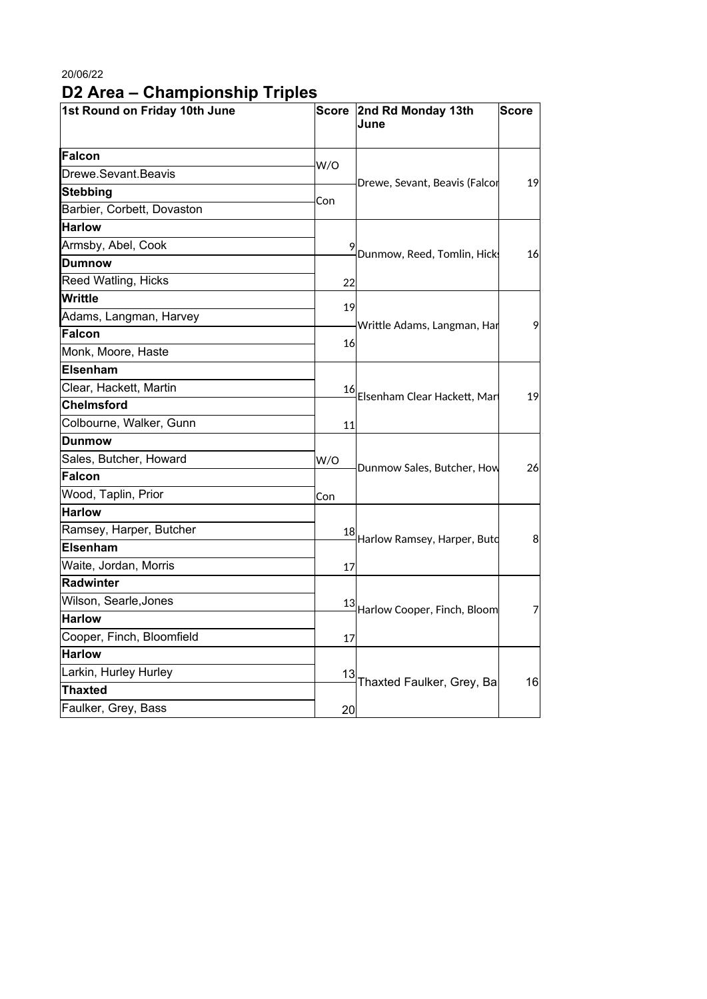## 20/06/22 **D2 Area – Championship Triples**

| 1st Round on Friday 10th June |     | Score 2nd Rd Monday 13th<br>June | <b>Score</b> |
|-------------------------------|-----|----------------------------------|--------------|
| Falcon                        | W/O |                                  |              |
| Drewe.Sevant.Beavis           |     | Drewe, Sevant, Beavis (Falcor    | 19           |
| Stebbing                      | Con |                                  |              |
| Barbier, Corbett, Dovaston    |     |                                  |              |
| <b>Harlow</b>                 |     |                                  |              |
| Armsby, Abel, Cook            |     | Dunmow, Reed, Tomlin, Hick       | 16           |
| <b>Dumnow</b>                 |     |                                  |              |
| Reed Watling, Hicks           | 22  |                                  |              |
| <b>Writtle</b>                | 19  |                                  | 9            |
| Adams, Langman, Harvey        |     | Writtle Adams, Langman, Har      |              |
| Falcon                        |     |                                  |              |
| Monk, Moore, Haste            | 16  |                                  |              |
| <b>Elsenham</b>               |     |                                  |              |
| Clear, Hackett, Martin        |     |                                  | 19           |
| <b>Chelmsford</b>             |     | 16 Elsenham Clear Hackett, Mar   |              |
| Colbourne, Walker, Gunn       | 11  |                                  |              |
| Dunmow                        |     |                                  |              |
| Sales, Butcher, Howard        | W/O |                                  | 26           |
| <b>Falcon</b>                 |     | Dunmow Sales, Butcher, How       |              |
| Wood, Taplin, Prior           | Con |                                  |              |
| Harlow                        |     |                                  |              |
| Ramsey, Harper, Butcher       |     |                                  | 8            |
| <b>Elsenham</b>               |     | 18 Harlow Ramsey, Harper, Butd   |              |
| Waite, Jordan, Morris         | 17  |                                  |              |
| Radwinter                     |     |                                  |              |
| Wilson, Searle, Jones         |     |                                  | 7            |
| <b>Harlow</b>                 |     | 13 Harlow Cooper, Finch, Bloom   |              |
| Cooper, Finch, Bloomfield     | 17  |                                  |              |
| <b>Harlow</b>                 |     |                                  |              |
| Larkin, Hurley Hurley         | 13  |                                  | 16           |
| <b>Thaxted</b>                |     | Thaxted Faulker, Grey, Ba        |              |
| Faulker, Grey, Bass           | 20  |                                  |              |